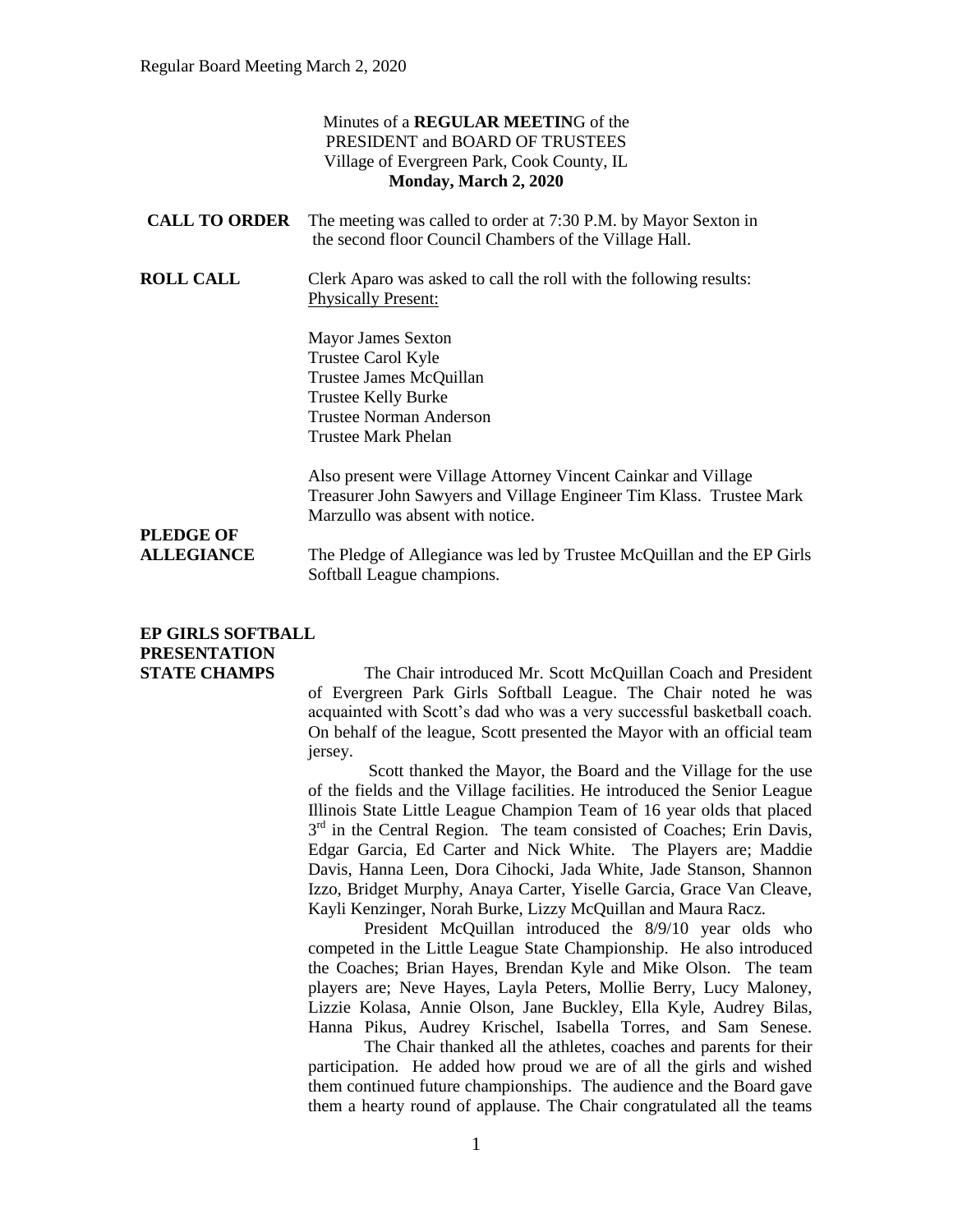|                                                                     | Minutes of a <b>REGULAR MEETING</b> of the<br>PRESIDENT and BOARD OF TRUSTEES                                                                                             |
|---------------------------------------------------------------------|---------------------------------------------------------------------------------------------------------------------------------------------------------------------------|
| Village of Evergreen Park, Cook County, IL<br>Monday, March 2, 2020 |                                                                                                                                                                           |
| <b>CALL TO ORDER</b>                                                | The meeting was called to order at 7:30 P.M. by Mayor Sexton in<br>the second floor Council Chambers of the Village Hall.                                                 |
| <b>ROLL CALL</b>                                                    | Clerk Aparo was asked to call the roll with the following results:<br><b>Physically Present:</b>                                                                          |
|                                                                     | <b>Mayor James Sexton</b>                                                                                                                                                 |
|                                                                     | Trustee Carol Kyle                                                                                                                                                        |
|                                                                     | Trustee James McQuillan                                                                                                                                                   |
|                                                                     | Trustee Kelly Burke                                                                                                                                                       |
|                                                                     | <b>Trustee Norman Anderson</b>                                                                                                                                            |
|                                                                     | Trustee Mark Phelan                                                                                                                                                       |
|                                                                     | Also present were Village Attorney Vincent Cainkar and Village<br>Treasurer John Sawyers and Village Engineer Tim Klass. Trustee Mark<br>Marzullo was absent with notice. |
| <b>PLEDGE OF</b>                                                    |                                                                                                                                                                           |
| <b>ALLEGIANCE</b>                                                   | The Pledge of Allegiance was led by Trustee McQuillan and the EP Girls                                                                                                    |
|                                                                     | Softball League champions.                                                                                                                                                |
|                                                                     |                                                                                                                                                                           |

**EP GIRLS SOFTBALL PRESENTATION** 

**STATE CHAMPS** The Chair introduced Mr. Scott McQuillan Coach and President of Evergreen Park Girls Softball League. The Chair noted he was acquainted with Scott's dad who was a very successful basketball coach. On behalf of the league, Scott presented the Mayor with an official team jersey.

> Scott thanked the Mayor, the Board and the Village for the use of the fields and the Village facilities. He introduced the Senior League Illinois State Little League Champion Team of 16 year olds that placed  $3<sup>rd</sup>$  in the Central Region. The team consisted of Coaches; Erin Davis, Edgar Garcia, Ed Carter and Nick White. The Players are; Maddie Davis, Hanna Leen, Dora Cihocki, Jada White, Jade Stanson, Shannon Izzo, Bridget Murphy, Anaya Carter, Yiselle Garcia, Grace Van Cleave, Kayli Kenzinger, Norah Burke, Lizzy McQuillan and Maura Racz.

> President McQuillan introduced the 8/9/10 year olds who competed in the Little League State Championship. He also introduced the Coaches; Brian Hayes, Brendan Kyle and Mike Olson. The team players are; Neve Hayes, Layla Peters, Mollie Berry, Lucy Maloney, Lizzie Kolasa, Annie Olson, Jane Buckley, Ella Kyle, Audrey Bilas, Hanna Pikus, Audrey Krischel, Isabella Torres, and Sam Senese.

> The Chair thanked all the athletes, coaches and parents for their participation. He added how proud we are of all the girls and wished them continued future championships. The audience and the Board gave them a hearty round of applause. The Chair congratulated all the teams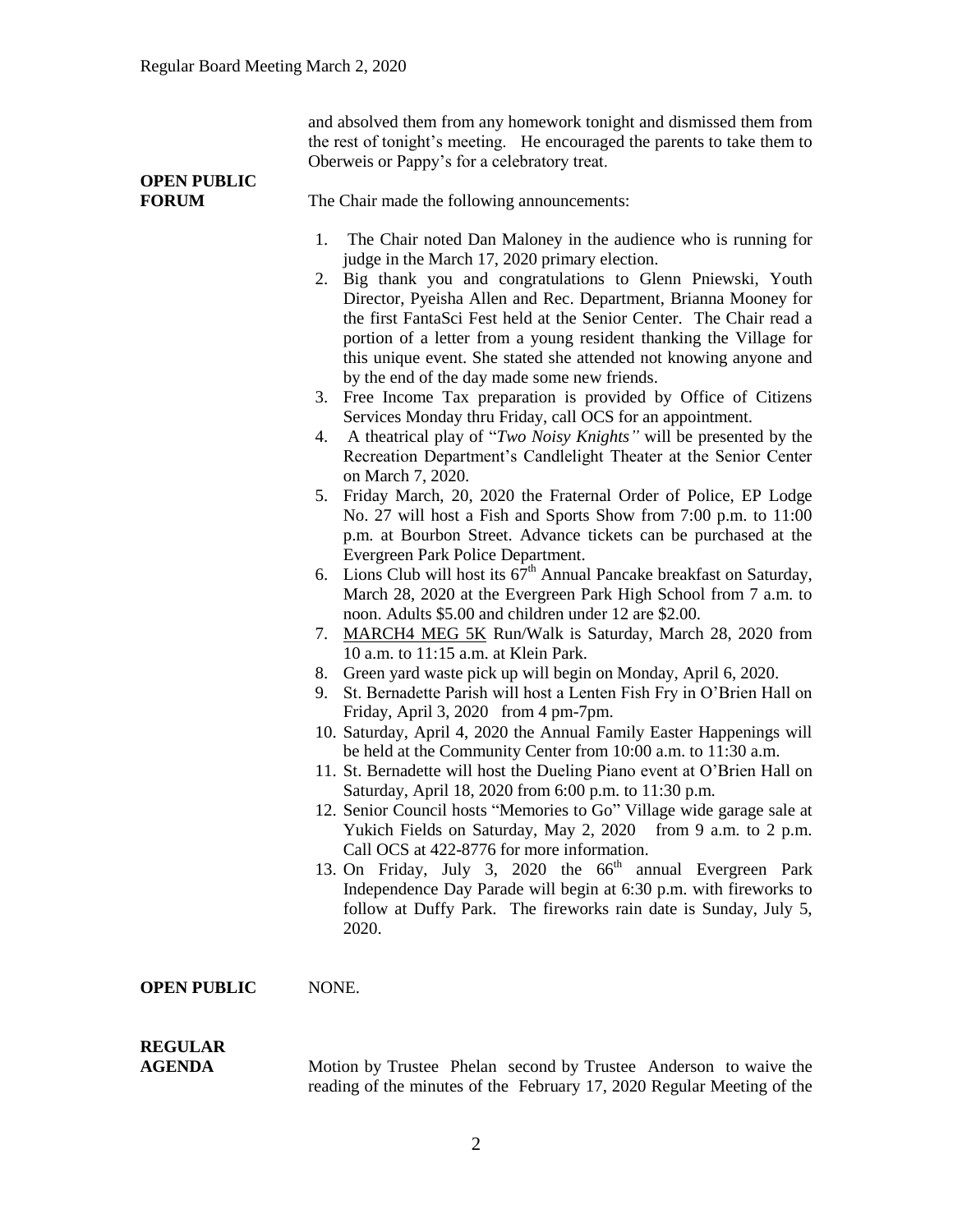and absolved them from any homework tonight and dismissed them from the rest of tonight's meeting. He encouraged the parents to take them to Oberweis or Pappy's for a celebratory treat.

# **OPEN PUBLIC**

**FORUM** The Chair made the following announcements:

- 1. The Chair noted Dan Maloney in the audience who is running for judge in the March 17, 2020 primary election.
- 2. Big thank you and congratulations to Glenn Pniewski, Youth Director, Pyeisha Allen and Rec. Department, Brianna Mooney for the first FantaSci Fest held at the Senior Center. The Chair read a portion of a letter from a young resident thanking the Village for this unique event. She stated she attended not knowing anyone and by the end of the day made some new friends.
- 3. Free Income Tax preparation is provided by Office of Citizens Services Monday thru Friday, call OCS for an appointment.
- 4. A theatrical play of "*Two Noisy Knights"* will be presented by the Recreation Department's Candlelight Theater at the Senior Center on March 7, 2020.
- 5. Friday March, 20, 2020 the Fraternal Order of Police, EP Lodge No. 27 will host a Fish and Sports Show from 7:00 p.m. to 11:00 p.m. at Bourbon Street. Advance tickets can be purchased at the Evergreen Park Police Department.
- 6. Lions Club will host its  $67<sup>th</sup>$  Annual Pancake breakfast on Saturday, March 28, 2020 at the Evergreen Park High School from 7 a.m. to noon. Adults \$5.00 and children under 12 are \$2.00.
- 7. MARCH4 MEG 5K Run/Walk is Saturday, March 28, 2020 from 10 a.m. to 11:15 a.m. at Klein Park.
- 8. Green yard waste pick up will begin on Monday, April 6, 2020.
- 9. St. Bernadette Parish will host a Lenten Fish Fry in O'Brien Hall on Friday, April 3, 2020 from 4 pm-7pm.
- 10. Saturday, April 4, 2020 the Annual Family Easter Happenings will be held at the Community Center from 10:00 a.m. to 11:30 a.m.
- 11. St. Bernadette will host the Dueling Piano event at O'Brien Hall on Saturday, April 18, 2020 from 6:00 p.m. to 11:30 p.m.
- 12. Senior Council hosts "Memories to Go" Village wide garage sale at Yukich Fields on Saturday, May 2, 2020 from 9 a.m. to 2 p.m. Call OCS at 422-8776 for more information.
- 13. On Friday, July 3, 2020 the  $66<sup>th</sup>$  annual Evergreen Park Independence Day Parade will begin at 6:30 p.m. with fireworks to follow at Duffy Park. The fireworks rain date is Sunday, July 5, 2020.

#### **OPEN PUBLIC** NONE.

# **REGULAR**

**AGENDA Motion by Trustee Phelan second by Trustee Anderson to waive the** reading of the minutes of the February 17, 2020 Regular Meeting of the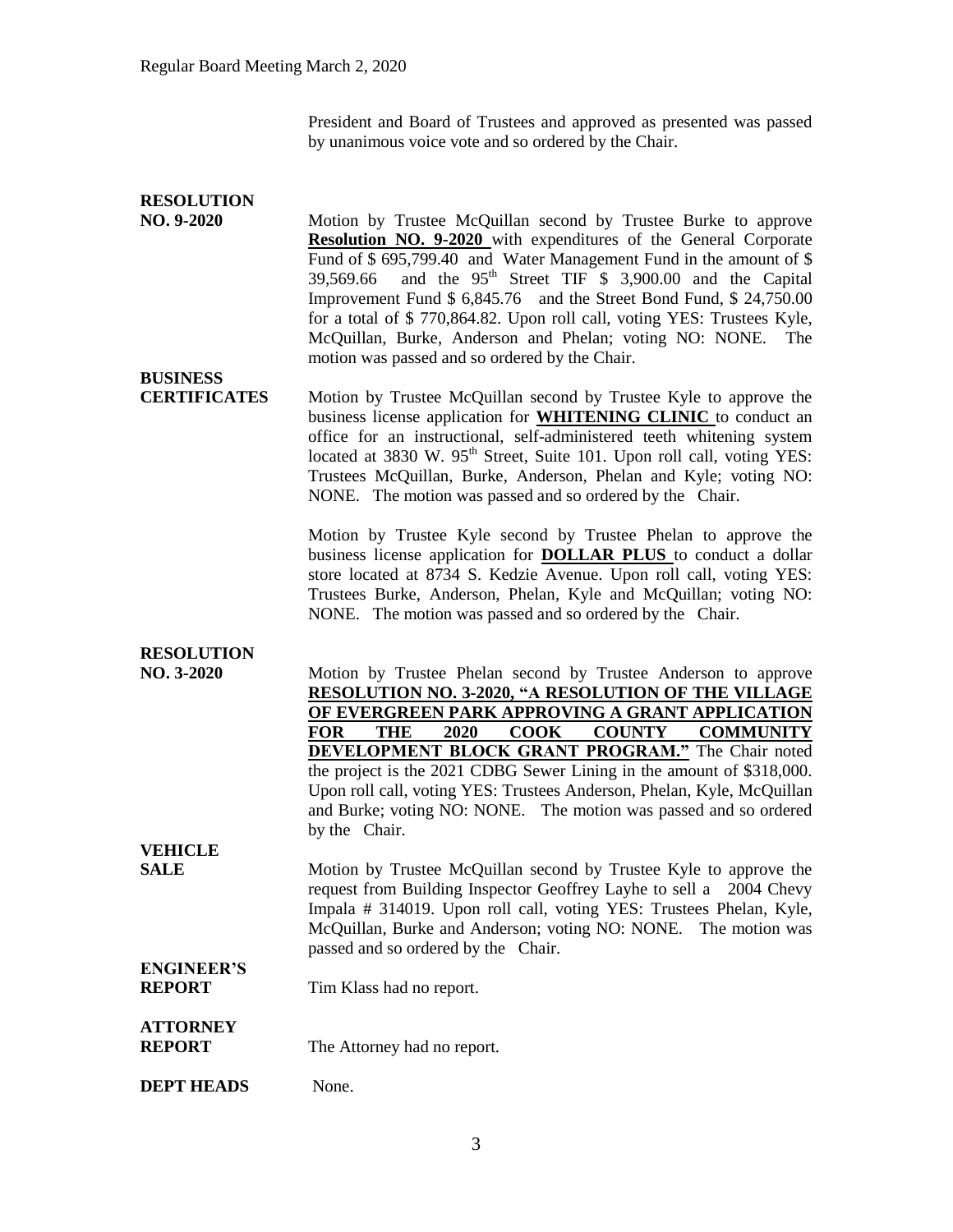President and Board of Trustees and approved as presented was passed by unanimous voice vote and so ordered by the Chair.

### **RESOLUTION**

**NO. 9-2020** Motion by Trustee McQuillan second by Trustee Burke to approve **Resolution NO. 9-2020** with expenditures of the General Corporate Fund of \$ 695,799.40 and Water Management Fund in the amount of \$  $39,569.66$  and the  $95<sup>th</sup>$  Street TIF  $\frac{5}{9}$  3,900.00 and the Capital Improvement Fund \$ 6,845.76 and the Street Bond Fund, \$ 24,750.00 for a total of \$ 770,864.82. Upon roll call, voting YES: Trustees Kyle, McQuillan, Burke, Anderson and Phelan; voting NO: NONE. The motion was passed and so ordered by the Chair.

## **BUSINESS**

**CERTIFICATES** Motion by Trustee McQuillan second by Trustee Kyle to approve the business license application for **WHITENING CLINIC** to conduct an office for an instructional, self-administered teeth whitening system located at 3830 W. 95<sup>th</sup> Street, Suite 101. Upon roll call, voting YES: Trustees McQuillan, Burke, Anderson, Phelan and Kyle; voting NO: NONE. The motion was passed and so ordered by the Chair.

> Motion by Trustee Kyle second by Trustee Phelan to approve the business license application for **DOLLAR PLUS** to conduct a dollar store located at 8734 S. Kedzie Avenue. Upon roll call, voting YES: Trustees Burke, Anderson, Phelan, Kyle and McQuillan; voting NO: NONE. The motion was passed and so ordered by the Chair.

### **RESOLUTION**

**NO. 3-2020** Motion by Trustee Phelan second by Trustee Anderson to approve **RESOLUTION NO. 3-2020, "A RESOLUTION OF THE VILLAGE OF EVERGREEN PARK APPROVING A GRANT APPLICATION FOR THE 2020 COOK COUNTY COMMUNITY DEVELOPMENT BLOCK GRANT PROGRAM."** The Chair noted the project is the 2021 CDBG Sewer Lining in the amount of \$318,000. Upon roll call, voting YES: Trustees Anderson, Phelan, Kyle, McQuillan and Burke; voting NO: NONE. The motion was passed and so ordered by the Chair.

**VEHICLE**

**SALE** Motion by Trustee McQuillan second by Trustee Kyle to approve the request from Building Inspector Geoffrey Layhe to sell a 2004 Chevy Impala # 314019. Upon roll call, voting YES: Trustees Phelan, Kyle, McQuillan, Burke and Anderson; voting NO: NONE. The motion was passed and so ordered by the Chair.

#### **ENGINEER'S REPORT** Tim Klass had no report.

#### **ATTORNEY REPORT** The Attorney had no report.

**DEPT HEADS** None.